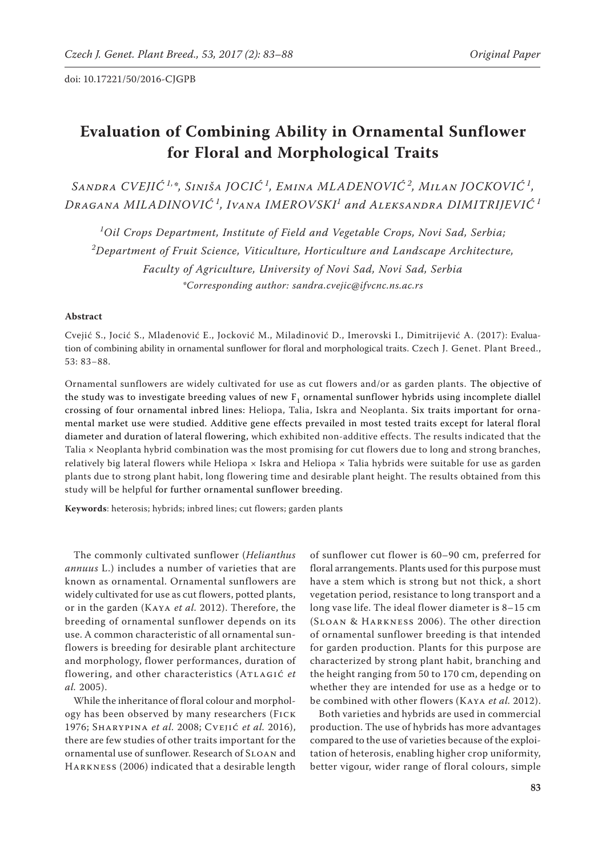# **Evaluation of Combining Ability in Ornamental Sunflower for Floral and Morphological Traits**

*Sandra CVEJIĆ 1,\*, Siniša JOCIĆ <sup>1</sup> , Emina MLADENOVIĆ <sup>2</sup> , Milan JOCKOVIĆ <sup>1</sup> , Dragana MILADINOVIĆ <sup>1</sup> , Ivana IMEROVSKI<sup>1</sup> and Aleksandra DIMITRIJEVIĆ <sup>1</sup>*

*1 Oil Crops Department, Institute of Field and Vegetable Crops, Novi Sad, Serbia; 2 Department of Fruit Science, Viticulture, Horticulture and Landscape Architecture, Faculty of Agriculture, University of Novi Sad, Novi Sad, Serbia \*Corresponding author: sandra.cvejic@ifvcnc.ns.ac.rs*

## **Abstract**

Cvejić S., Jocić S., Mladenović E., Jocković M., Miladinović D., Imerovski I., Dimitrijević A. (2017): Evaluation of combining ability in ornamental sunflower for floral and morphological traits. Czech J. Genet. Plant Breed., 53: 83−88.

Ornamental sunflowers are widely cultivated for use as cut flowers and/or as garden plants. The objective of the study was to investigate breeding values of new  $F_1$  ornamental sunflower hybrids using incomplete diallel crossing of four ornamental inbred lines: Heliopa, Talia, Iskra and Neoplanta. Six traits important for ornamental market use were studied. Additive gene effects prevailed in most tested traits except for lateral floral diameter and duration of lateral flowering, which exhibited non-additive effects. The results indicated that the Talia × Neoplanta hybrid combination was the most promising for cut flowers due to long and strong branches, relatively big lateral flowers while Heliopa × Iskra and Heliopa × Talia hybrids were suitable for use as garden plants due to strong plant habit, long flowering time and desirable plant height. The results obtained from this study will be helpful for further ornamental sunflower breeding.

**Keywords**: heterosis; hybrids; inbred lines; cut flowers; garden plants

The commonly cultivated sunflower (*Helianthus annuus* L.) includes a number of varieties that are known as ornamental. Ornamental sunflowers are widely cultivated for use as cut flowers, potted plants, or in the garden (Kaya *et al.* 2012). Therefore, the breeding of ornamental sunflower depends on its use. A common characteristic of all ornamental sunflowers is breeding for desirable plant architecture and morphology, flower performances, duration of flowering, and other characteristics (ATLAGIC et *al.* 2005).

While the inheritance of floral colour and morphology has been observed by many researchers (Fick 1976; Sharypina *et al.* 2008; Cvejić *et al.* 2016), there are few studies of other traits important for the ornamental use of sunflower. Research of Sloan and Harkness (2006) indicated that a desirable length

of sunflower cut flower is 60–90 cm, preferred for floral arrangements. Plants used for this purpose must have a stem which is strong but not thick, a short vegetation period, resistance to long transport and a long vase life. The ideal flower diameter is 8–15 cm (Sloan & Harkness 2006). The other direction of ornamental sunflower breeding is that intended for garden production. Plants for this purpose are characterized by strong plant habit, branching and the height ranging from 50 to 170 cm, depending on whether they are intended for use as a hedge or to be combined with other flowers (Kaya *et al.* 2012).

Both varieties and hybrids are used in commercial production. The use of hybrids has more advantages compared to the use of varieties because of the exploitation of heterosis, enabling higher crop uniformity, better vigour, wider range of floral colours, simple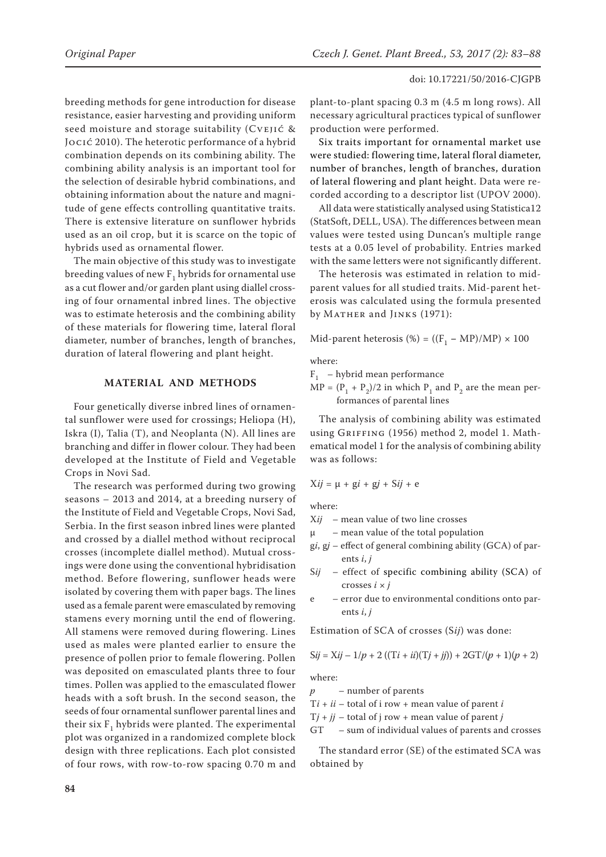breeding methods for gene introduction for disease resistance, easier harvesting and providing uniform seed moisture and storage suitability (Cvejić & Jocić 2010). The heterotic performance of a hybrid combination depends on its combining ability. The combining ability analysis is an important tool for the selection of desirable hybrid combinations, and obtaining information about the nature and magnitude of gene effects controlling quantitative traits. There is extensive literature on sunflower hybrids used as an oil crop, but it is scarce on the topic of hybrids used as ornamental flower.

The main objective of this study was to investigate breeding values of new  $F_1$  hybrids for ornamental use as a cut flower and/or garden plant using diallel crossing of four ornamental inbred lines. The objective was to estimate heterosis and the combining ability of these materials for flowering time, lateral floral diameter, number of branches, length of branches, duration of lateral flowering and plant height.

## **MATERIAL AND METHODS**

Four genetically diverse inbred lines of ornamental sunflower were used for crossings; Heliopa (H), Iskra (I), Talia (T), and Neoplanta (N). All lines are branching and differ in flower colour. They had been developed at the Institute of Field and Vegetable Crops in Novi Sad.

The research was performed during two growing seasons – 2013 and 2014, at a breeding nursery of the Institute of Field and Vegetable Crops, Novi Sad, Serbia. In the first season inbred lines were planted and crossed by a diallel method without reciprocal crosses (incomplete diallel method). Mutual crossings were done using the conventional hybridisation method. Before flowering, sunflower heads were isolated by covering them with paper bags. The lines used as a female parent were emasculated by removing stamens every morning until the end of flowering. All stamens were removed during flowering. Lines used as males were planted earlier to ensure the presence of pollen prior to female flowering. Pollen was deposited on emasculated plants three to four times. Pollen was applied to the emasculated flower heads with a soft brush. In the second season, the seeds of four ornamental sunflower parental lines and their six  $F_1$  hybrids were planted. The experimental plot was organized in a randomized complete block design with three replications. Each plot consisted of four rows, with row-to-row spacing 0.70 m and

plant-to-plant spacing 0.3 m (4.5 m long rows). All necessary agricultural practices typical of sunflower production were performed.

Six traits important for ornamental market use were studied: flowering time, lateral floral diameter, number of branches, length of branches, duration of lateral flowering and plant height. Data were recorded according to a descriptor list (UPOV 2000).

All data were statistically analysed using Statistica12 (StatSoft, DELL, USA). The differences between mean values were tested using Duncan's multiple range tests at a 0.05 level of probability. Entries marked with the same letters were not significantly different.

The heterosis was estimated in relation to midparent values for all studied traits. Mid-parent heterosis was calculated using the formula presented by MATHER and JINKS (1971):

Mid-parent heterosis (%) =  $((F_1 - MP)/MP) \times 100$ 

where:

 $F_1$  – hybrid mean performance

 $MP = (P_1 + P_2)/2$  in which  $P_1$  and  $P_2$  are the mean performances of parental lines

The analysis of combining ability was estimated using GRIFFING (1956) method 2, model 1. Mathematical model 1 for the analysis of combining ability was as follows:

$$
Xij = \mu + gi + gj + Sij + e
$$

where:

- X*ij* mean value of two line crosses
- mean value of the total population
- g*i*, g*j* effect of general combining ability (GCA) of parents *i*, *j*
- S*ij* effect of specific combining ability (SCA) of crosses  $i \times j$
- e error due to environmental conditions onto parents *i*, *j*

Estimation of SCA of crosses (S*ij*) was done:

$$
Sij = Xij - 1/p + 2 ((Ti + ii)(Tj + jj)) + 2GT/(p + 1)(p + 2)
$$

where:

*p* – number of parents

 $Ti + ii - total of i row + mean value of parent i$ 

 $Tj + jj$  – total of j row + mean value of parent *j* 

GT – sum of individual values of parents and crosses

The standard error (SE) of the estimated SCA was obtained by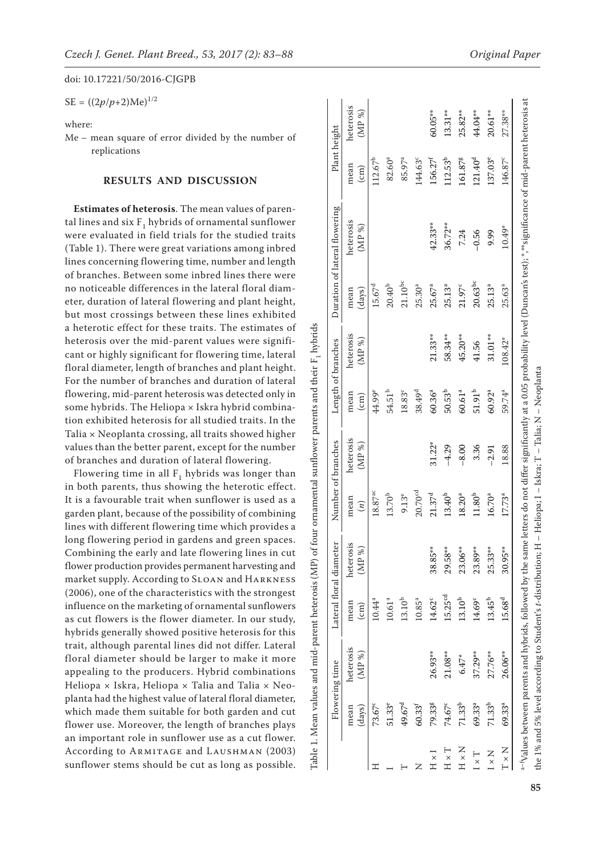$$
SE = ((2p/p + 2)Me)^{1/2}
$$

#### where:

Me – mean square of error divided by the number of replications

# **RESULTS AND DISCUSSION**

**Estimates of heterosis**. The mean values of paren tal lines and six  $\mathsf{F}_1$  hybrids of ornamental sunflower were evaluated in field trials for the studied traits (Table 1). There were great variations among inbred lines concerning flowering time, number and length of branches. Between some inbred lines there were no noticeable differences in the lateral floral diam eter, duration of lateral flowering and plant height, but most crossings between these lines exhibited a heterotic effect for these traits. The estimates of heterosis over the mid-parent values were signifi cant or highly significant for flowering time, lateral floral diameter, length of branches and plant height. For the number of branches and duration of lateral flowering, mid-parent heterosis was detected only in some hybrids. The Heliopa × Iskra hybrid combina tion exhibited heterosis for all studied traits. In the Talia × Neoplanta crossing, all traits showed higher values than the better parent, except for the number of branches and duration of lateral flowering.

Flowering time in all  ${\tt F_1}$  hybrids was longer than in both parents, thus showing the heterotic effect. It is a favourable trait when sunflower is used as a garden plant, because of the possibility of combining lines with different flowering time which provides a long flowering period in gardens and green spaces. Combining the early and late flowering lines in cut flower production provides permanent harvesting and market supply. According to Sloan and Harkness (2006), one of the characteristics with the strongest influence on the marketing of ornamental sunflowers as cut flowers is the flower diameter. In our study, hybrids generally showed positive heterosis for this trait, although parental lines did not differ. Lateral floral diameter should be larger to make it more appealing to the producers. Hybrid combinations Heliopa × Iskra, Heliopa × Talia and Talia × Neo planta had the highest value of lateral floral diameter, which made them suitable for both garden and cut flower use. Moreover, the length of branches plays an important role in sunflower use as a cut flower. According to Armitage and Laushman (2003) sunflower stems should be cut as long as possible.

|                      |                    | Flowering time      |                     | Lateral floral diameter | Number of branches        |                    |                    | Length of branches  |                    | Duration of lateral flowering | Plant height          |                     |
|----------------------|--------------------|---------------------|---------------------|-------------------------|---------------------------|--------------------|--------------------|---------------------|--------------------|-------------------------------|-----------------------|---------------------|
|                      | mean<br>(days)     | heterosis<br>(MP %) | mean<br>$\text{cm}$ | heterosis<br>(MP %)     | mean<br>$\left( n\right)$ | heterosis<br>(MP%) | mean<br>(cm)       | heterosis<br>(MP %) | mean<br>(days)     | heterosis<br>(MP %)           | mean<br>(cm)          | heterosis<br>(MP %) |
|                      | 73.67 <sup>c</sup> |                     | $10.44^{a}$         |                         | $18.87$ <sup>ac</sup>     |                    | 44.99°             |                     | $15.67^{\rm d}$    |                               | $112.67^{b}$          |                     |
|                      | 51.33 <sup>e</sup> |                     | 10.61 <sup>a</sup>  |                         | 13.70 <sup>b</sup>        |                    | 54.51 <sup>b</sup> |                     | $20.40^{b}$        |                               | $82.60^{a}$           |                     |
|                      | 49.67 <sup>d</sup> |                     | $13.10^{b}$         |                         | 9.13 <sup>e</sup>         |                    | 18.83 <sup>c</sup> |                     | $21.10^{bc}$       |                               | 85.97 <sup>a</sup>    |                     |
|                      | $60.33^{t}$        |                     | $10.85^{a}$         |                         | 20.70 <sup>cd</sup>       |                    | 38.49 <sup>d</sup> |                     | $25.30^{a}$        |                               | 144.63°               |                     |
| $\frac{1}{2} \times$ | 79.338             | 26.93**             | $14.62^{\circ}$     | 38.85**                 | $21.37^{d}$               | 31.22*             | 60.36 <sup>a</sup> | $21.33**$           | 25.67 <sup>a</sup> | 42.33**                       | $156.27$ <sup>t</sup> | 60.05**             |
| $T \times H$         | 74.67°             | 21.08**             | 15.25 <sup>cd</sup> | 29.58**                 | 13.40 <sup>b</sup>        | $-4.29$            | $50.53^{b}$        | 58.34**             | 25.13 <sup>a</sup> | 36.72**                       | $12.53^{b}$           | $13.31**$           |
| $H \times N$         | $71.33^{b}$        | $6.47*$             | $13.10^{b}$         | 23.06**                 | $18.20^{a}$               | $-8.00$            | $60.61^{a}$        | 45.20**             | 21.97 <sup>c</sup> | 7.24                          | 161.87 <sup>g</sup>   | 25.82**             |
| $T \times I$         | 69.33ª             | 37.29**             | 14.69 <sup>c</sup>  | 23.89**                 | $11.80^{b}$               | 3.36               | $51.91^{b}$        | 41.56               | $20.63$ bc         | $-0.56$                       | $121.40^{d}$          | 44.04**             |
| $\frac{X}{X}$        | $71.33^{b}$        | 27.76**             | $13.45^{b}$         | $25.33**$               | $16.70^{a}$               | $-2.91$            | 60.92 <sup>a</sup> | $31.01***$          | 25.13 <sup>a</sup> | 9.99                          | $137.03^e$            | $20.61**$           |
| I × N                | 69.33ª             | 26.06**             | 15.68 <sup>d</sup>  | 30.95**                 | $17.73^{a}$               | 18.88              | 59.74 <sup>a</sup> | $108.42*$           | $25.63^{a}$        | $10.49*$                      | 146.87 <sup>c</sup>   | $27.38***$          |

Table 1. Mean values and mid-parent heterosis (MP) of four ornamental sunflower parents and their F<sub>1</sub> hybrids

Table 1. Mean values and

mid-parent heterosis (MP) of four ornamental sunflower parents and their F, hybrids

the 1% and 5% level according to Student's *t*-distribution; H – Heliopa; I – Iskra; T – Talia; N – Neoplanta

the 1% and 5% level according to Student's t-distribution; H – Heliopa; I – Iskra; T – Talia; N – Neoplanta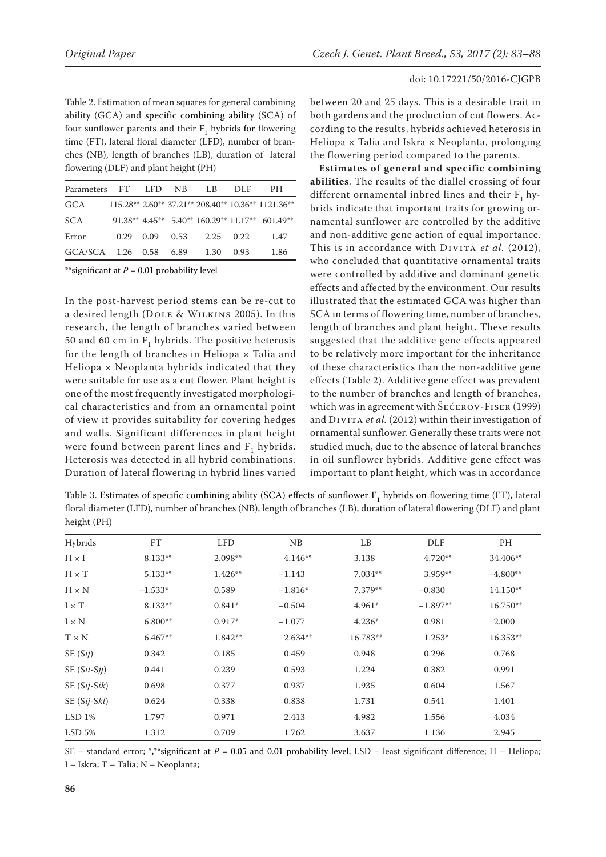Table 2. Estimation of mean squares for general combining ability (GCA) and specific combining ability (SCA) of four sunflower parents and their  $F_1$  hybrids for flowering time (FT), lateral floral diameter (LFD), number of branches (NB), length of branches (LB), duration of lateral flowering (DLF) and plant height (PH)

| Parameters FT LFD NB LB |  |                                    | - DLF | PH.                                                |
|-------------------------|--|------------------------------------|-------|----------------------------------------------------|
| <b>GCA</b>              |  |                                    |       | 115.28** 2.60** 37.21** 208.40** 10.36** 1121.36** |
| <b>SCA</b>              |  |                                    |       | 91.38** 4.45** 5.40** 160.29** 11.17** 601.49**    |
| Error                   |  | $0.29$ $0.09$ $0.53$ $2.25$ $0.22$ |       | 1.47                                               |
| GCA/SCA 1.26 0.58 6.89  |  | 1.30 0.93                          |       | 1.86                                               |

\*\*significant at *P* = 0.01 probability level

In the post-harvest period stems can be re-cut to a desired length (Dole & Wilkins 2005). In this research, the length of branches varied between 50 and 60 cm in  $F_1$  hybrids. The positive heterosis for the length of branches in Heliopa  $\times$  Talia and Heliopa  $\times$  Neoplanta hybrids indicated that they were suitable for use as a cut flower. Plant height is one of the most frequently investigated morphological characteristics and from an ornamental point of view it provides suitability for covering hedges and walls. Significant differences in plant height were found between parent lines and  $F_1$  hybrids. Heterosis was detected in all hybrid combinations. Duration of lateral flowering in hybrid lines varied

## doi: 10.17221/50/2016-CJGPB

between 20 and 25 days. This is a desirable trait in both gardens and the production of cut flowers. According to the results, hybrids achieved heterosis in Heliopa  $\times$  Talia and Iskra  $\times$  Neoplanta, prolonging the flowering period compared to the parents.

**Estimates of general and specific combining abilities**. The results of the diallel crossing of four different ornamental inbred lines and their  $F_1$  hybrids indicate that important traits for growing ornamental sunflower are controlled by the additive and non-additive gene action of equal importance. This is in accordance with DIVITA *et al.* (2012), who concluded that quantitative ornamental traits were controlled by additive and dominant genetic effects and affected by the environment. Our results illustrated that the estimated GCA was higher than SCA in terms of flowering time, number of branches, length of branches and plant height. These results suggested that the additive gene effects appeared to be relatively more important for the inheritance of these characteristics than the non-additive gene effects (Table 2). Additive gene effect was prevalent to the number of branches and length of branches, which was in agreement with Šećerov-Fiser (1999) and DIVITA et al. (2012) within their investigation of ornamental sunflower. Generally these traits were not studied much, due to the absence of lateral branches in oil sunflower hybrids. Additive gene effect was important to plant height, which was in accordance

Table 3. Estimates of specific combining ability (SCA) effects of sunflower  $F_1$  hybrids on flowering time (FT), lateral floral diameter (LFD), number of branches (NB), length of branches (LB), duration of lateral flowering (DLF) and plant height (PH)

| Hybrids           | <b>FT</b> | <b>LFD</b> | NB        | LB        | DLF        | PH         |
|-------------------|-----------|------------|-----------|-----------|------------|------------|
| $H \times I$      | 8.133**   | $2.098**$  | $4.146**$ | 3.138     | $4.720**$  | 34.406**   |
| $H \times T$      | 5.133**   | $1.426**$  | $-1.143$  | 7.034**   | $3.959**$  | $-4.800**$ |
| $H \times N$      | $-1.533*$ | 0.589      | $-1.816*$ | $7.379**$ | $-0.830$   | 14.150**   |
| $I \times T$      | $8.133**$ | $0.841*$   | $-0.504$  | 4.961*    | $-1.897**$ | $16.750**$ |
| $I \times N$      | $6.800**$ | $0.917*$   | $-1.077$  | $4.236*$  | 0.981      | 2.000      |
| $T \times N$      | $6.467**$ | $1.842**$  | $2.634**$ | 16.783**  | $1.253*$   | 16.353**   |
| SE(Sij)           | 0.342     | 0.185      | 0.459     | 0.948     | 0.296      | 0.768      |
| SE (Sii-Sjj)      | 0.441     | 0.239      | 0.593     | 1.224     | 0.382      | 0.991      |
| SE (Sij-Sik)      | 0.698     | 0.377      | 0.937     | 1.935     | 0.604      | 1.567      |
| SE (Sij-Skl)      | 0.624     | 0.338      | 0.838     | 1.731     | 0.541      | 1.401      |
| LSD <sub>1%</sub> | 1.797     | 0.971      | 2.413     | 4.982     | 1.556      | 4.034      |
| LSD <sub>5%</sub> | 1.312     | 0.709      | 1.762     | 3.637     | 1.136      | 2.945      |

SE – standard error; \*,\*\*significant at *P* = 0.05 and 0.01 probability level; LSD – least significant difference; H – Heliopa; I – Iskra; T – Talia; N – Neoplanta;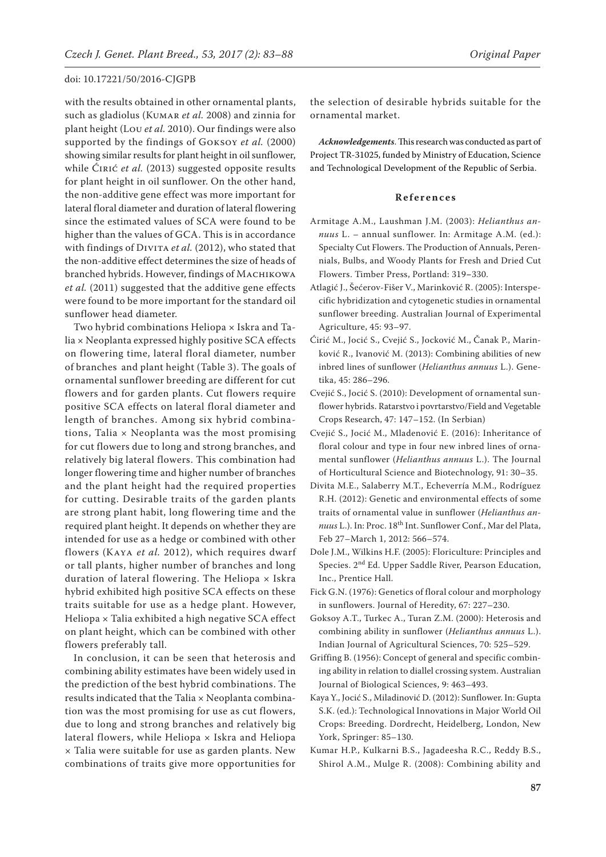with the results obtained in other ornamental plants, such as gladiolus (KUMAR et al. 2008) and zinnia for plant height (Lou *et al.* 2010). Our findings were also supported by the findings of Goksoy *et al.* (2000) showing similar results for plant height in oil sunflower, while ĆIRIć *et al.* (2013) suggested opposite results for plant height in oil sunflower. On the other hand, the non-additive gene effect was more important for lateral floral diameter and duration of lateral flowering since the estimated values of SCA were found to be higher than the values of GCA. This is in accordance with findings of DIVITA *et al.* (2012), who stated that the non-additive effect determines the size of heads of branched hybrids. However, findings of Machikowa *et al.* (2011) suggested that the additive gene effects were found to be more important for the standard oil sunflower head diameter.

Two hybrid combinations Heliopa × Iskra and Talia × Neoplanta expressed highly positive SCA effects on flowering time, lateral floral diameter, number of branches and plant height (Table 3). The goals of ornamental sunflower breeding are different for cut flowers and for garden plants. Cut flowers require positive SCA effects on lateral floral diameter and length of branches. Among six hybrid combinations, Talia × Neoplanta was the most promising for cut flowers due to long and strong branches, and relatively big lateral flowers. This combination had longer flowering time and higher number of branches and the plant height had the required properties for cutting. Desirable traits of the garden plants are strong plant habit, long flowering time and the required plant height. It depends on whether they are intended for use as a hedge or combined with other flowers (Kaya *et al.* 2012), which requires dwarf or tall plants, higher number of branches and long duration of lateral flowering. The Heliopa × Iskra hybrid exhibited high positive SCA effects on these traits suitable for use as a hedge plant. However, Heliopa × Talia exhibited a high negative SCA effect on plant height, which can be combined with other flowers preferably tall.

In conclusion, it can be seen that heterosis and combining ability estimates have been widely used in the prediction of the best hybrid combinations. The results indicated that the Talia × Neoplanta combination was the most promising for use as cut flowers, due to long and strong branches and relatively big lateral flowers, while Heliopa  $\times$  Iskra and Heliopa × Talia were suitable for use as garden plants. New combinations of traits give more opportunities for the selection of desirable hybrids suitable for the ornamental market.

*Acknowledgements*. This research was conducted as part of Project TR-31025, funded by Ministry of Education, Science and Technological Development of the Republic of Serbia.

## **References**

- Armitage A.M., Laushman J.M. (2003): *Helianthus annuus* L. – annual sunflower. In: Armitage A.M. (ed.): Specialty Cut Flowers. The Production of Annuals, Perennials, Bulbs, and Woody Plants for Fresh and Dried Cut Flowers. Timber Press, Portland: 319**−**330.
- Atlagić J., Šećerov-Fišer V., Marinković R. (2005): Interspecific hybridization and cytogenetic studies in ornamental sunflower breeding. Australian Journal of Experimental Agriculture, 45: 93–97.
- Ćirić M., Jocić S., Cvejić S., Jocković M., Čanak P., Marinković R., Ivanović M. (2013): Combining abilities of new inbred lines of sunflower (*Helianthus annuus* L.). Genetika, 45: 286–296.
- Cvejić S., Jocić S. (2010): Development of ornamental sunflower hybrids. Ratarstvo i povrtarstvo/Field and Vegetable Crops Research, 47: 147–152. (In Serbian)
- Cvejić S., Jocić M., Mladenović E. (2016): Inheritance of floral colour and type in four new inbred lines of ornamental sunflower (*Helianthus annuus* L.). The Journal of Horticultural Science and Biotechnology, 91: 30–35.
- Divita M.E., Salaberry M.T., Echeverría M.M., Rodríguez R.H. (2012): Genetic and environmental effects of some traits of ornamental value in sunflower (*Helianthus annuus* L.). In: Proc. 18th Int. Sunflower Conf., Mar del Plata, Feb 27–March 1, 2012: 566–574.
- Dole J.M., Wilkins H.F. (2005): Floriculture: Principles and Species. 2nd Ed. Upper Saddle River, Pearson Education, Inc., Prentice Hall.
- Fick G.N. (1976): Genetics of floral colour and morphology in sunflowers. Journal of Heredity, 67: 227–230.
- Goksoy A.T., Turkec A., Turan Z.M. (2000): Heterosis and combining ability in sunflower (*Helianthus annuus* L.). Indian Journal of Agricultural Sciences, 70: 525–529.
- Griffing B. (1956): Concept of general and specific combining ability in relation to diallel crossing system. Australian Journal of Biological Sciences, 9: 463–493.
- Kaya Y., Jocić S., Miladinović D. (2012): Sunflower. In: Gupta S.K. (ed.): Technological Innovations in Major World Oil Crops: Breeding. Dordrecht, Heidelberg, London, New York, Springer: 85–130.
- Kumar H.P., Kulkarni B.S., Jagadeesha R.C., Reddy B.S., Shirol A.M., Mulge R. (2008): Combining ability and